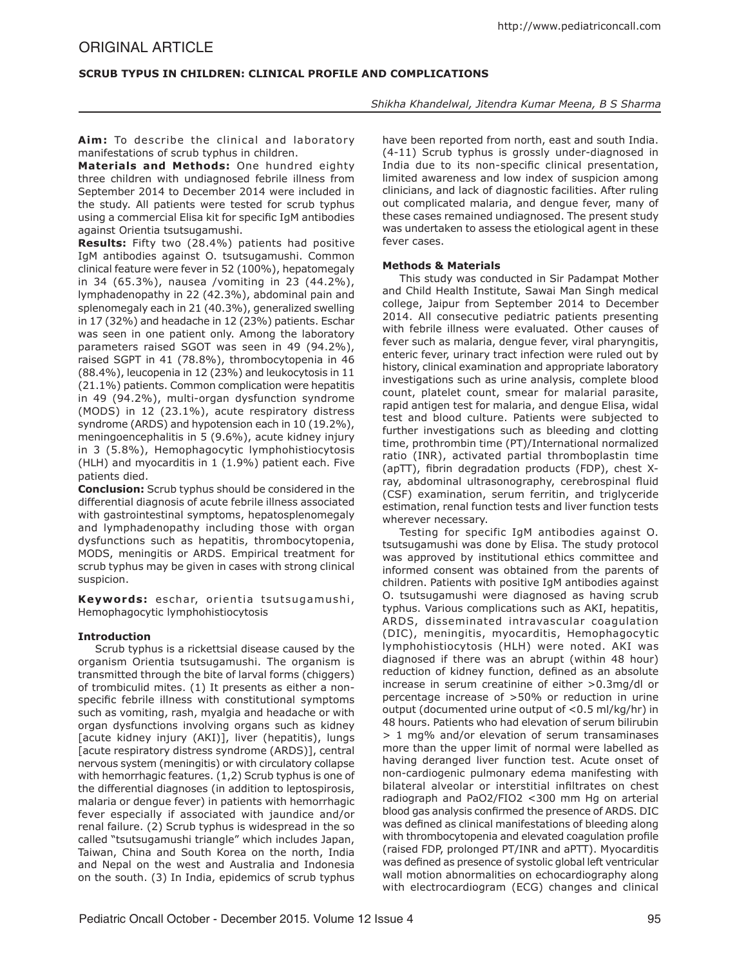# **SCRUB TYPUS IN CHILDREN: CLINICAL PROFILE AND COMPLICATIONS**

*Shikha Khandelwal, Jitendra Kumar Meena, B S Sharma*

Aim: To describe the clinical and laboratorv manifestations of scrub typhus in children.

**Materials and Methods:** One hundred eighty three children with undiagnosed febrile illness from September 2014 to December 2014 were included in the study. All patients were tested for scrub typhus using a commercial Elisa kit for specific IgM antibodies against Orientia tsutsugamushi.

**Results:** Fifty two (28.4%) patients had positive IgM antibodies against O. tsutsugamushi. Common clinical feature were fever in 52 (100%), hepatomegaly in 34 (65.3%), nausea /vomiting in 23 (44.2%), lymphadenopathy in 22 (42.3%), abdominal pain and splenomegaly each in 21 (40.3%), generalized swelling in 17 (32%) and headache in 12 (23%) patients. Eschar was seen in one patient only. Among the laboratory parameters raised SGOT was seen in 49 (94.2%), raised SGPT in 41 (78.8%), thrombocytopenia in 46 (88.4%), leucopenia in 12 (23%) and leukocytosis in 11 (21.1%) patients. Common complication were hepatitis in 49 (94.2%), multi-organ dysfunction syndrome (MODS) in 12 (23.1%), acute respiratory distress syndrome (ARDS) and hypotension each in 10 (19.2%), meningoencephalitis in 5 (9.6%), acute kidney injury in 3 (5.8%), Hemophagocytic lymphohistiocytosis (HLH) and myocarditis in 1 (1.9%) patient each. Five patients died.

**Conclusion:** Scrub typhus should be considered in the differential diagnosis of acute febrile illness associated with gastrointestinal symptoms, hepatosplenomegaly and lymphadenopathy including those with organ dysfunctions such as hepatitis, thrombocytopenia, MODS, meningitis or ARDS. Empirical treatment for scrub typhus may be given in cases with strong clinical suspicion.

Keywords: eschar, orientia tsutsugamushi, Hemophagocytic lymphohistiocytosis

## **Introduction**

Scrub typhus is a rickettsial disease caused by the organism Orientia tsutsugamushi. The organism is transmitted through the bite of larval forms (chiggers) of trombiculid mites. (1) It presents as either a nonspecific febrile illness with constitutional symptoms such as vomiting, rash, myalgia and headache or with organ dysfunctions involving organs such as kidney [acute kidney injury (AKI)], liver (hepatitis), lungs [acute respiratory distress syndrome (ARDS)], central nervous system (meningitis) or with circulatory collapse with hemorrhagic features. (1,2) Scrub typhus is one of the differential diagnoses (in addition to leptospirosis, malaria or dengue fever) in patients with hemorrhagic fever especially if associated with jaundice and/or renal failure. (2) Scrub typhus is widespread in the so called "tsutsugamushi triangle" which includes Japan, Taiwan, China and South Korea on the north, India and Nepal on the west and Australia and Indonesia on the south. (3) In India, epidemics of scrub typhus

have been reported from north, east and south India. (4-11) Scrub typhus is grossly under-diagnosed in India due to its non-specific clinical presentation, limited awareness and low index of suspicion among clinicians, and lack of diagnostic facilities. After ruling out complicated malaria, and dengue fever, many of these cases remained undiagnosed. The present study was undertaken to assess the etiological agent in these fever cases.

### **Methods & Materials**

This study was conducted in Sir Padampat Mother and Child Health Institute, Sawai Man Singh medical college, Jaipur from September 2014 to December 2014. All consecutive pediatric patients presenting with febrile illness were evaluated. Other causes of fever such as malaria, dengue fever, viral pharyngitis, enteric fever, urinary tract infection were ruled out by history, clinical examination and appropriate laboratory investigations such as urine analysis, complete blood count, platelet count, smear for malarial parasite, rapid antigen test for malaria, and dengue Elisa, widal test and blood culture. Patients were subjected to further investigations such as bleeding and clotting time, prothrombin time (PT)/International normalized ratio (INR), activated partial thromboplastin time (apTT), fibrin degradation products (FDP), chest Xray, abdominal ultrasonography, cerebrospinal fluid (CSF) examination, serum ferritin, and triglyceride estimation, renal function tests and liver function tests wherever necessary.

Testing for specific IgM antibodies against O. tsutsugamushi was done by Elisa. The study protocol was approved by institutional ethics committee and informed consent was obtained from the parents of children. Patients with positive IgM antibodies against O. tsutsugamushi were diagnosed as having scrub typhus. Various complications such as AKI, hepatitis, ARDS, disseminated intravascular coagulation (DIC), meningitis, myocarditis, Hemophagocytic lymphohistiocytosis (HLH) were noted. AKI was diagnosed if there was an abrupt (within 48 hour) reduction of kidney function, defined as an absolute increase in serum creatinine of either >0.3mg/dl or percentage increase of >50% or reduction in urine output (documented urine output of <0.5 ml/kg/hr) in 48 hours. Patients who had elevation of serum bilirubin > 1 mg% and/or elevation of serum transaminases more than the upper limit of normal were labelled as having deranged liver function test. Acute onset of non-cardiogenic pulmonary edema manifesting with bilateral alveolar or interstitial infiltrates on chest radiograph and PaO2/FIO2 <300 mm Hg on arterial blood gas analysis confirmed the presence of ARDS. DIC was defined as clinical manifestations of bleeding along with thrombocytopenia and elevated coagulation profile (raised FDP, prolonged PT/INR and aPTT). Myocarditis was defined as presence of systolic global left ventricular wall motion abnormalities on echocardiography along with electrocardiogram (ECG) changes and clinical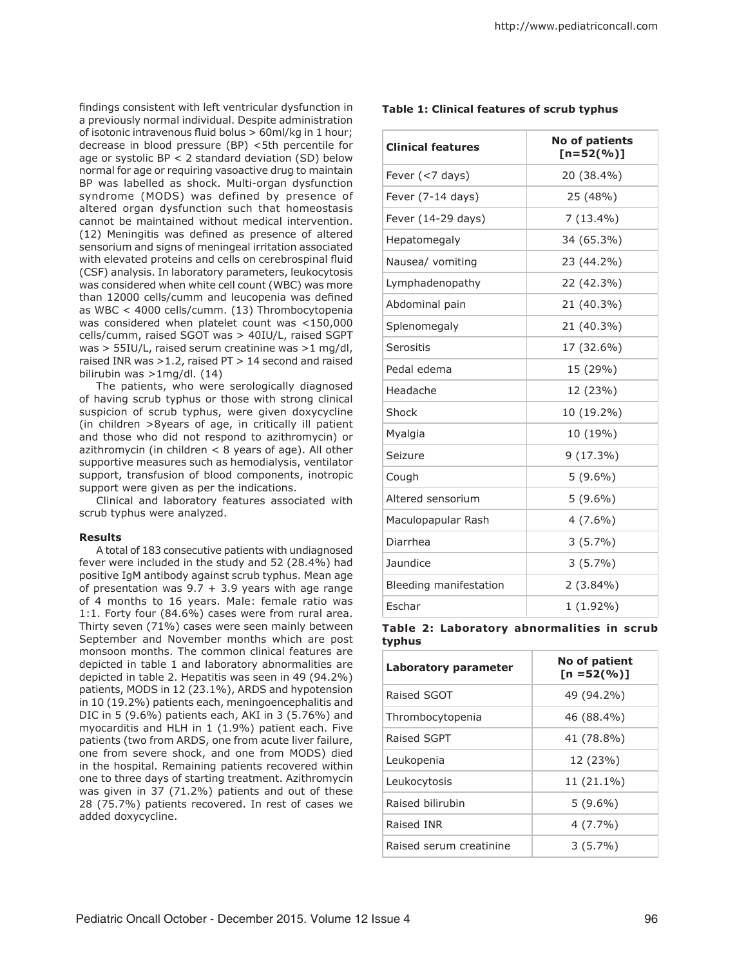findings consistent with left ventricular dysfunction in a previously normal individual. Despite administration of isotonic intravenous fluid bolus > 60ml/kg in 1 hour; decrease in blood pressure (BP) <5th percentile for age or systolic BP < 2 standard deviation (SD) below normal for age or requiring vasoactive drug to maintain BP was labelled as shock. Multi-organ dysfunction syndrome (MODS) was defined by presence of altered organ dysfunction such that homeostasis cannot be maintained without medical intervention. (12) Meningitis was defined as presence of altered sensorium and signs of meningeal irritation associated with elevated proteins and cells on cerebrospinal fluid (CSF) analysis. In laboratory parameters, leukocytosis was considered when white cell count (WBC) was more than 12000 cells/cumm and leucopenia was defined as WBC < 4000 cells/cumm. (13) Thrombocytopenia was considered when platelet count was <150,000 cells/cumm, raised SGOT was > 40IU/L, raised SGPT was > 55IU/L, raised serum creatinine was >1 mg/dl, raised INR was >1.2, raised PT > 14 second and raised bilirubin was >1mg/dl. (14)

The patients, who were serologically diagnosed of having scrub typhus or those with strong clinical suspicion of scrub typhus, were given doxycycline (in children >8years of age, in critically ill patient and those who did not respond to azithromycin) or azithromycin (in children  $<$  8 years of age). All other supportive measures such as hemodialysis, ventilator support, transfusion of blood components, inotropic support were given as per the indications.

Clinical and laboratory features associated with scrub typhus were analyzed.

#### **Results**

A total of 183 consecutive patients with undiagnosed fever were included in the study and 52 (28.4%) had positive IgM antibody against scrub typhus. Mean age of presentation was  $9.7 + 3.9$  years with age range of 4 months to 16 years. Male: female ratio was 1:1. Forty four (84.6%) cases were from rural area. Thirty seven (71%) cases were seen mainly between September and November months which are post monsoon months. The common clinical features are depicted in table 1 and laboratory abnormalities are depicted in table 2. Hepatitis was seen in 49 (94.2%) patients, MODS in 12 (23.1%), ARDS and hypotension in 10 (19.2%) patients each, meningoencephalitis and DIC in 5 (9.6%) patients each, AKI in 3 (5.76%) and myocarditis and HLH in 1 (1.9%) patient each. Five patients (two from ARDS, one from acute liver failure, one from severe shock, and one from MODS) died in the hospital. Remaining patients recovered within one to three days of starting treatment. Azithromycin was given in 37 (71.2%) patients and out of these 28 (75.7%) patients recovered. In rest of cases we added doxycycline.

## **Table 1: Clinical features of scrub typhus**

| <b>Clinical features</b> | <b>No of patients</b><br>$[n=52(%)]$ |
|--------------------------|--------------------------------------|
| Fever (<7 days)          | 20 (38.4%)                           |
| Fever (7-14 days)        | 25 (48%)                             |
| Fever (14-29 days)       | $7(13.4\%)$                          |
| Hepatomegaly             | 34 (65.3%)                           |
| Nausea/ vomiting         | 23 (44.2%)                           |
| Lymphadenopathy          | 22 (42.3%)                           |
| Abdominal pain           | 21 (40.3%)                           |
| Splenomegaly             | 21 (40.3%)                           |
| Serositis                | 17 (32.6%)                           |
| Pedal edema              | 15 (29%)                             |
| Headache                 | 12 (23%)                             |
| Shock                    | 10 (19.2%)                           |
| Myalgia                  | 10 (19%)                             |
| Seizure                  | $9(17.3\%)$                          |
| Cough                    | $5(9.6\%)$                           |
| Altered sensorium        | $5(9.6\%)$                           |
| Maculopapular Rash       | $4(7.6\%)$                           |
| Diarrhea                 | $3(5.7\%)$                           |
| Jaundice                 | $3(5.7\%)$                           |
| Bleeding manifestation   | $2(3.84\%)$                          |
| Eschar                   | $1(1.92\%)$                          |

**Table 2: Laboratory abnormalities in scrub typhus**

| <b>Laboratory parameter</b> | No of patient<br>$[n = 52(%)]$ |
|-----------------------------|--------------------------------|
| Raised SGOT                 | 49 (94.2%)                     |
| Thrombocytopenia            | 46 (88.4%)                     |
| Raised SGPT                 | 41 (78.8%)                     |
| Leukopenia                  | 12 (23%)                       |
| Leukocytosis                | 11 (21.1%)                     |
| Raised bilirubin            | $5(9.6\%)$                     |
| Raised INR                  | $4(7.7\%)$                     |
| Raised serum creatinine     | $3(5.7\%)$                     |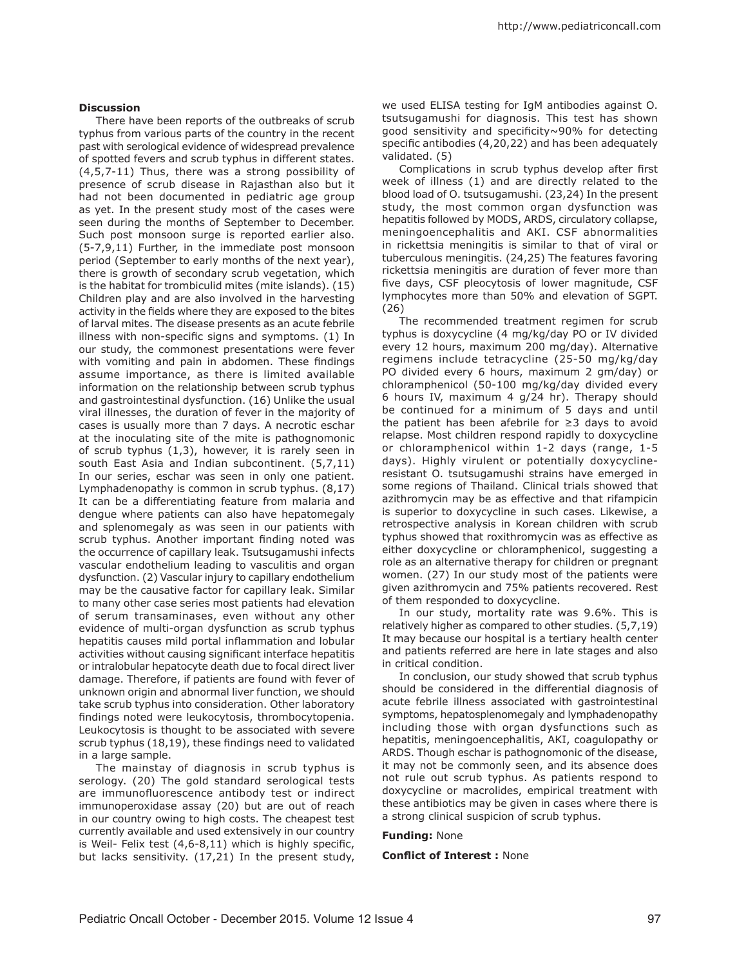#### **Discussion**

There have been reports of the outbreaks of scrub typhus from various parts of the country in the recent past with serological evidence of widespread prevalence of spotted fevers and scrub typhus in different states. (4,5,7-11) Thus, there was a strong possibility of presence of scrub disease in Rajasthan also but it had not been documented in pediatric age group as yet. In the present study most of the cases were seen during the months of September to December. Such post monsoon surge is reported earlier also. (5-7,9,11) Further, in the immediate post monsoon period (September to early months of the next year), there is growth of secondary scrub vegetation, which is the habitat for trombiculid mites (mite islands). (15) Children play and are also involved in the harvesting activity in the fields where they are exposed to the bites of larval mites. The disease presents as an acute febrile illness with non-specific signs and symptoms. (1) In our study, the commonest presentations were fever with vomiting and pain in abdomen. These findings assume importance, as there is limited available information on the relationship between scrub typhus and gastrointestinal dysfunction. (16) Unlike the usual viral illnesses, the duration of fever in the majority of cases is usually more than 7 days. A necrotic eschar at the inoculating site of the mite is pathognomonic of scrub typhus (1,3), however, it is rarely seen in south East Asia and Indian subcontinent. (5,7,11) In our series, eschar was seen in only one patient. Lymphadenopathy is common in scrub typhus. (8,17) It can be a differentiating feature from malaria and dengue where patients can also have hepatomegaly and splenomegaly as was seen in our patients with scrub typhus. Another important finding noted was the occurrence of capillary leak. Tsutsugamushi infects vascular endothelium leading to vasculitis and organ dysfunction. (2) Vascular injury to capillary endothelium may be the causative factor for capillary leak. Similar to many other case series most patients had elevation of serum transaminases, even without any other evidence of multi-organ dysfunction as scrub typhus hepatitis causes mild portal inflammation and lobular activities without causing significant interface hepatitis or intralobular hepatocyte death due to focal direct liver damage. Therefore, if patients are found with fever of unknown origin and abnormal liver function, we should take scrub typhus into consideration. Other laboratory findings noted were leukocytosis, thrombocytopenia. Leukocytosis is thought to be associated with severe scrub typhus (18,19), these findings need to validated in a large sample.

The mainstay of diagnosis in scrub typhus is serology. (20) The gold standard serological tests are immunofluorescence antibody test or indirect immunoperoxidase assay (20) but are out of reach in our country owing to high costs. The cheapest test currently available and used extensively in our country is Weil- Felix test (4,6-8,11) which is highly specific, but lacks sensitivity. (17,21) In the present study,

we used ELISA testing for IgM antibodies against O. tsutsugamushi for diagnosis. This test has shown good sensitivity and specificity~90% for detecting specific antibodies (4,20,22) and has been adequately validated. (5)

Complications in scrub typhus develop after first week of illness (1) and are directly related to the blood load of O. tsutsugamushi. (23,24) In the present study, the most common organ dysfunction was hepatitis followed by MODS, ARDS, circulatory collapse, meningoencephalitis and AKI. CSF abnormalities in rickettsia meningitis is similar to that of viral or tuberculous meningitis. (24,25) The features favoring rickettsia meningitis are duration of fever more than five days, CSF pleocytosis of lower magnitude, CSF lymphocytes more than 50% and elevation of SGPT. (26)

The recommended treatment regimen for scrub typhus is doxycycline (4 mg/kg/day PO or IV divided every 12 hours, maximum 200 mg/day). Alternative regimens include tetracycline (25-50 mg/kg/day PO divided every 6 hours, maximum 2 gm/day) or chloramphenicol (50-100 mg/kg/day divided every 6 hours IV, maximum 4 g/24 hr). Therapy should be continued for a minimum of 5 days and until the patient has been afebrile for ≥3 days to avoid relapse. Most children respond rapidly to doxycycline or chloramphenicol within 1-2 days (range, 1-5 days). Highly virulent or potentially doxycyclineresistant O. tsutsugamushi strains have emerged in some regions of Thailand. Clinical trials showed that azithromycin may be as effective and that rifampicin is superior to doxycycline in such cases. Likewise, a retrospective analysis in Korean children with scrub typhus showed that roxithromycin was as effective as either doxycycline or chloramphenicol, suggesting a role as an alternative therapy for children or pregnant women. (27) In our study most of the patients were given azithromycin and 75% patients recovered. Rest of them responded to doxycycline.

In our study, mortality rate was 9.6%. This is relatively higher as compared to other studies. (5,7,19) It may because our hospital is a tertiary health center and patients referred are here in late stages and also in critical condition.

In conclusion, our study showed that scrub typhus should be considered in the differential diagnosis of acute febrile illness associated with gastrointestinal symptoms, hepatosplenomegaly and lymphadenopathy including those with organ dysfunctions such as hepatitis, meningoencephalitis, AKI, coagulopathy or ARDS. Though eschar is pathognomonic of the disease, it may not be commonly seen, and its absence does not rule out scrub typhus. As patients respond to doxycycline or macrolides, empirical treatment with these antibiotics may be given in cases where there is a strong clinical suspicion of scrub typhus.

#### **Funding:** None

**Conflict of Interest :** None